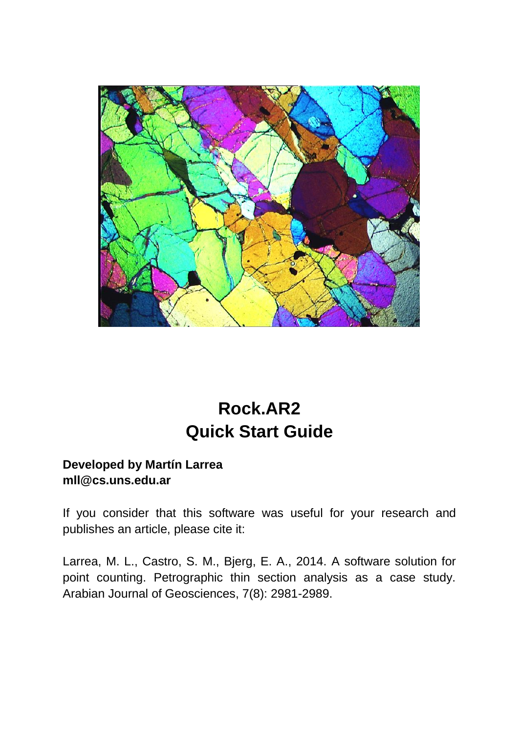

# **Rock.AR2 Quick Start Guide**

# **Developed by Martín Larrea mll@cs.uns.edu.ar**

If you consider that this software was useful for your research and publishes an article, please cite it:

Larrea, M. L., Castro, S. M., Bjerg, E. A., 2014. A software solution for point counting. Petrographic thin section analysis as a case study. Arabian Journal of Geosciences, 7(8): 2981-2989.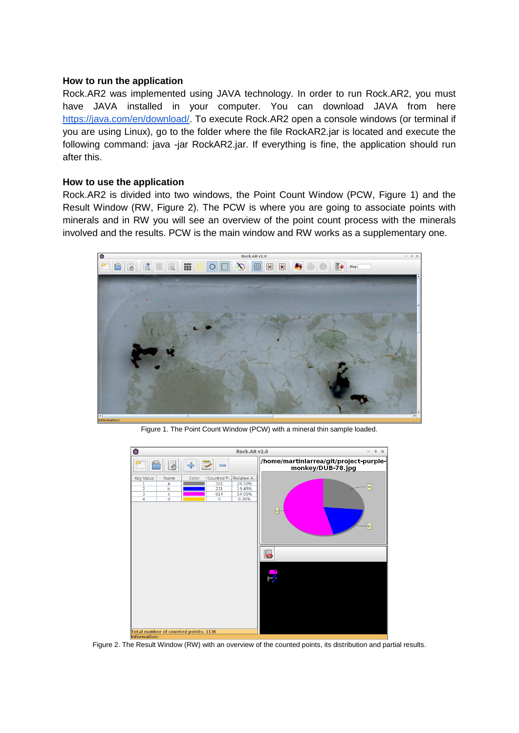#### **How to run the application**

Rock.AR2 was implemented using JAVA technology. In order to run Rock.AR2, you must have JAVA installed in your computer. You can download JAVA from here [https://java.com/en/download/.](https://java.com/en/download/) To execute Rock.AR2 open a console windows (or terminal if you are using Linux), go to the folder where the file RockAR2.jar is located and execute the following command: java -jar RockAR2.jar. If everything is fine, the application should run after this.

#### **How to use the application**

Rock.AR2 is divided into two windows, the Point Count Window (PCW, Figure 1) and the Result Window (RW, Figure 2). The PCW is where you are going to associate points with minerals and in RW you will see an overview of the point count process with the minerals involved and the results. PCW is the main window and RW works as a supplementary one.



Figure 1. The Point Count Window (PCW) with a mineral thin sample loaded.



Figure 2. The Result Window (RW) with an overview of the counted points, its distribution and partial results.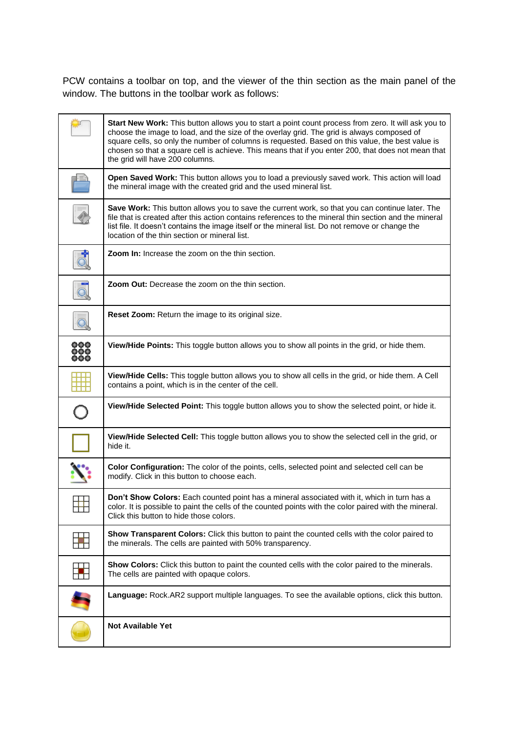PCW contains a toolbar on top, and the viewer of the thin section as the main panel of the window. The buttons in the toolbar work as follows:

|                                    | Start New Work: This button allows you to start a point count process from zero. It will ask you to<br>choose the image to load, and the size of the overlay grid. The grid is always composed of<br>square cells, so only the number of columns is requested. Based on this value, the best value is<br>chosen so that a square cell is achieve. This means that if you enter 200, that does not mean that |
|------------------------------------|-------------------------------------------------------------------------------------------------------------------------------------------------------------------------------------------------------------------------------------------------------------------------------------------------------------------------------------------------------------------------------------------------------------|
|                                    | the grid will have 200 columns.<br>Open Saved Work: This button allows you to load a previously saved work. This action will load<br>the mineral image with the created grid and the used mineral list.                                                                                                                                                                                                     |
|                                    | Save Work: This button allows you to save the current work, so that you can continue later. The<br>file that is created after this action contains references to the mineral thin section and the mineral<br>list file. It doesn't contains the image itself or the mineral list. Do not remove or change the<br>location of the thin section or mineral list.                                              |
| đ                                  | <b>Zoom In:</b> Increase the zoom on the thin section.                                                                                                                                                                                                                                                                                                                                                      |
| $\overline{\overline{\mathbb{Q}}}$ | <b>Zoom Out:</b> Decrease the zoom on the thin section.                                                                                                                                                                                                                                                                                                                                                     |
| q                                  | <b>Reset Zoom:</b> Return the image to its original size.                                                                                                                                                                                                                                                                                                                                                   |
| 000<br>000<br>000                  | View/Hide Points: This toggle button allows you to show all points in the grid, or hide them.                                                                                                                                                                                                                                                                                                               |
|                                    | View/Hide Cells: This toggle button allows you to show all cells in the grid, or hide them. A Cell<br>contains a point, which is in the center of the cell.                                                                                                                                                                                                                                                 |
| $\overline{Q}$                     | View/Hide Selected Point: This toggle button allows you to show the selected point, or hide it.                                                                                                                                                                                                                                                                                                             |
|                                    | View/Hide Selected Cell: This toggle button allows you to show the selected cell in the grid, or<br>hide it.                                                                                                                                                                                                                                                                                                |
|                                    | Color Configuration: The color of the points, cells, selected point and selected cell can be<br>modify. Click in this button to choose each.                                                                                                                                                                                                                                                                |
| ╙┷                                 | Don't Show Colors: Each counted point has a mineral associated with it, which in turn has a<br>color. It is possible to paint the cells of the counted points with the color paired with the mineral.<br>Click this button to hide those colors.                                                                                                                                                            |
|                                    | Show Transparent Colors: Click this button to paint the counted cells with the color paired to<br>the minerals. The cells are painted with 50% transparency.                                                                                                                                                                                                                                                |
|                                    | Show Colors: Click this button to paint the counted cells with the color paired to the minerals.<br>The cells are painted with opaque colors.                                                                                                                                                                                                                                                               |
|                                    | Language: Rock.AR2 support multiple languages. To see the available options, click this button.                                                                                                                                                                                                                                                                                                             |
|                                    | <b>Not Available Yet</b>                                                                                                                                                                                                                                                                                                                                                                                    |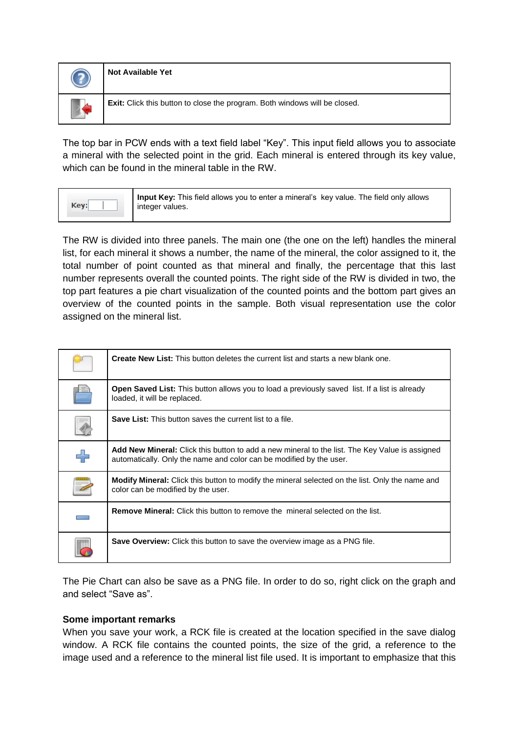| P. | <b>Not Available Yet</b>                                                   |
|----|----------------------------------------------------------------------------|
|    | Exit: Click this button to close the program. Both windows will be closed. |

The top bar in PCW ends with a text field label "Key". This input field allows you to associate a mineral with the selected point in the grid. Each mineral is entered through its key value, which can be found in the mineral table in the RW.

| Key: | Input Key: This field allows you to enter a mineral's key value. The field only allows<br>integer values. |
|------|-----------------------------------------------------------------------------------------------------------|
|------|-----------------------------------------------------------------------------------------------------------|

The RW is divided into three panels. The main one (the one on the left) handles the mineral list, for each mineral it shows a number, the name of the mineral, the color assigned to it, the total number of point counted as that mineral and finally, the percentage that this last number represents overall the counted points. The right side of the RW is divided in two, the top part features a pie chart visualization of the counted points and the bottom part gives an overview of the counted points in the sample. Both visual representation use the color assigned on the mineral list.

| <b>Create New List:</b> This button deletes the current list and starts a new blank one.                                                                                     |
|------------------------------------------------------------------------------------------------------------------------------------------------------------------------------|
| <b>Open Saved List:</b> This button allows you to load a previously saved list. If a list is already<br>loaded, it will be replaced.                                         |
| Save List: This button saves the current list to a file.                                                                                                                     |
| <b>Add New Mineral:</b> Click this button to add a new mineral to the list. The Key Value is assigned<br>automatically. Only the name and color can be modified by the user. |
| <b>Modify Mineral:</b> Click this button to modify the mineral selected on the list. Only the name and<br>color can be modified by the user.                                 |
| <b>Remove Mineral:</b> Click this button to remove the mineral selected on the list.                                                                                         |
| <b>Save Overview:</b> Click this button to save the overview image as a PNG file.                                                                                            |

The Pie Chart can also be save as a PNG file. In order to do so, right click on the graph and and select "Save as".

### **Some important remarks**

When you save your work, a RCK file is created at the location specified in the save dialog window. A RCK file contains the counted points, the size of the grid, a reference to the image used and a reference to the mineral list file used. It is important to emphasize that this